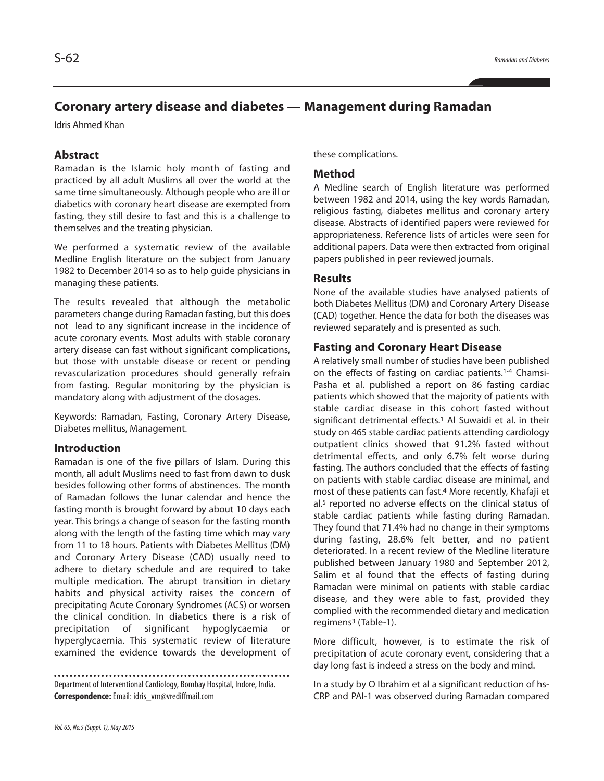# **Coronary artery disease and diabetes — Management during Ramadan**

Idris Ahmed Khan

# **Abstract**

Ramadan is the Islamic holy month of fasting and practiced by all adult Muslims all over the world at the same time simultaneously. Although people who are ill or diabetics with coronary heart disease are exempted from fasting, they still desire to fast and this is a challenge to themselves and the treating physician.

We performed a systematic review of the available Medline English literature on the subject from January 1982 to December 2014 so as to help guide physicians in managing these patients.

The results revealed that although the metabolic parameters change during Ramadan fasting, but this does not lead to any significant increase in the incidence of acute coronary events. Most adults with stable coronary artery disease can fast without significant complications, but those with unstable disease or recent or pending revascularization procedures should generally refrain from fasting. Regular monitoring by the physician is mandatory along with adjustment of the dosages.

Keywords: Ramadan, Fasting, Coronary Artery Disease, Diabetes mellitus, Management.

#### **Introduction**

Ramadan is one of the five pillars of Islam. During this month, all adult Muslims need to fast from dawn to dusk besides following other forms of abstinences. The month of Ramadan follows the lunar calendar and hence the fasting month is brought forward by about 10 days each year. This brings a change of season for the fasting month along with the length of the fasting time which may vary from 11 to 18 hours. Patients with Diabetes Mellitus (DM) and Coronary Artery Disease (CAD) usually need to adhere to dietary schedule and are required to take multiple medication. The abrupt transition in dietary habits and physical activity raises the concern of precipitating Acute Coronary Syndromes (ACS) or worsen the clinical condition. In diabetics there is a risk of precipitation of significant hypoglycaemia or hyperglycaemia. This systematic review of literature examined the evidence towards the development of

Department of Interventional Cardiology, Bombay Hospital, Indore, India. **Correspondence:**Email: idris\_vm@vrediffmail.com

these complications.

## **Method**

A Medline search of English literature was performed between 1982 and 2014, using the key words Ramadan, religious fasting, diabetes mellitus and coronary artery disease. Abstracts of identified papers were reviewed for appropriateness. Reference lists of articles were seen for additional papers. Data were then extracted from original papers published in peer reviewed journals.

#### **Results**

None of the available studies have analysed patients of both Diabetes Mellitus (DM) and Coronary Artery Disease (CAD) together. Hence the data for both the diseases was reviewed separately and is presented as such.

## **Fasting and Coronary Heart Disease**

A relatively small number of studies have been published on the effects of fasting on cardiac patients. 1-4 Chamsi-Pasha et al. published a report on 86 fasting cardiac patients which showed that the majority of patients with stable cardiac disease in this cohort fasted without significant detrimental effects. <sup>1</sup> Al Suwaidi et al. in their study on 465 stable cardiac patients attending cardiology outpatient clinics showed that 91.2% fasted without detrimental effects, and only 6.7% felt worse during fasting. The authors concluded that the effects of fasting on patients with stable cardiac disease are minimal, and most of these patients can fast. <sup>4</sup> More recently, Khafaji et al. <sup>5</sup> reported no adverse effects on the clinical status of stable cardiac patients while fasting during Ramadan. They found that 71.4% had no change in their symptoms during fasting, 28.6% felt better, and no patient deteriorated. In a recent review of the Medline literature published between January 1980 and September 2012, Salim et al found that the effects of fasting during Ramadan were minimal on patients with stable cardiac disease, and they were able to fast, provided they complied with the recommended dietary and medication regimens<sup>3</sup> (Table-1).

More difficult, however, is to estimate the risk of precipitation of acute coronary event, considering that a day long fast is indeed a stress on the body and mind.

In a study by O Ibrahim et al a significant reduction of hs-CRP and PAI-1 was observed during Ramadan compared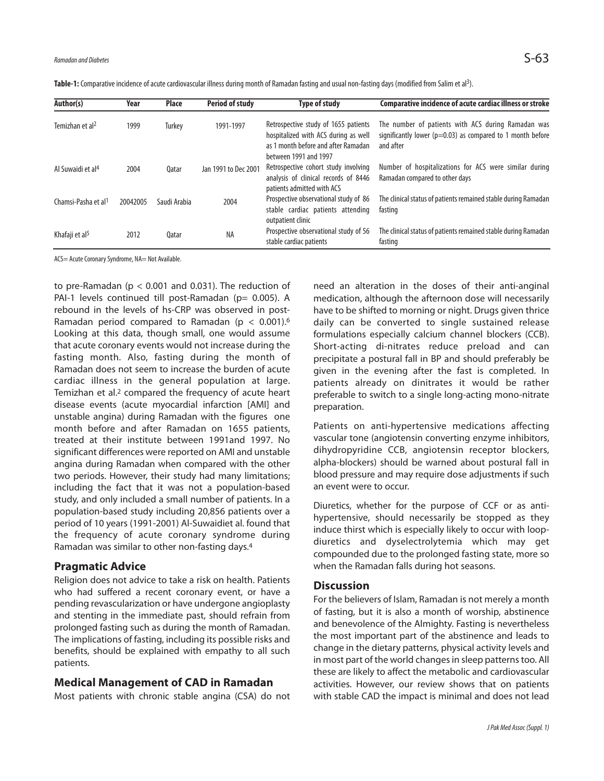| Table-1: Comparative incidence of acute cardiovascular illness during month of Ramadan fasting and usual non-fasting days (modified from Salim et al <sup>3</sup> ). |  |
|----------------------------------------------------------------------------------------------------------------------------------------------------------------------|--|
|                                                                                                                                                                      |  |

| Author(s)                       | Year     | Place        | <b>Period of study</b> | <b>Type of study</b>                                                                                                                         | Comparative incidence of acute cardiac illness or stroke                                                                          |
|---------------------------------|----------|--------------|------------------------|----------------------------------------------------------------------------------------------------------------------------------------------|-----------------------------------------------------------------------------------------------------------------------------------|
| Temizhan et al <sup>2</sup>     | 1999     | Turkev       | 1991-1997              | Retrospective study of 1655 patients<br>hospitalized with ACS during as well<br>as 1 month before and after Ramadan<br>between 1991 and 1997 | The number of patients with ACS during Ramadan was<br>significantly lower ( $p=0.03$ ) as compared to 1 month before<br>and after |
| Al Suwaidi et al <sup>4</sup>   | 2004     | 0atar        | Jan 1991 to Dec 2001   | Retrospective cohort study involving<br>analysis of clinical records of 8446<br>patients admitted with ACS                                   | Number of hospitalizations for ACS were similar during<br>Ramadan compared to other days                                          |
| Chamsi-Pasha et al <sup>1</sup> | 20042005 | Saudi Arabia | 2004                   | Prospective observational study of 86<br>stable cardiac patients attending<br>outpatient clinic                                              | The clinical status of patients remained stable during Ramadan<br>fasting                                                         |
| Khafaji et al <sup>5</sup>      | 2012     | 0atar        | <b>NA</b>              | Prospective observational study of 56<br>stable cardiac patients                                                                             | The clinical status of patients remained stable during Ramadan<br>fasting                                                         |

ACS= Acute Coronary Syndrome, NA= Not Available.

to pre-Ramadan ( $p < 0.001$  and 0.031). The reduction of PAI-1 levels continued till post-Ramadan (p= 0.005). A rebound in the levels of hs-CRP was observed in post-Ramadan period compared to Ramadan (p < 0.001). 6 Looking at this data, though small, one would assume that acute coronary events would not increase during the fasting month. Also, fasting during the month of Ramadan does not seem to increase the burden of acute cardiac illness in the general population at large. Temizhan et al. <sup>2</sup> compared the frequency of acute heart disease events (acute myocardial infarction [AMI] and unstable angina) during Ramadan with the figures one month before and after Ramadan on 1655 patients, treated at their institute between 1991and 1997. No significant differences were reported on AMI and unstable angina during Ramadan when compared with the other two periods. However, their study had many limitations; including the fact that it was not a population-based study, and only included a small number of patients. In a population-based study including 20,856 patients over a period of 10 years (1991-2001) Al-Suwaidiet al. found that the frequency of acute coronary syndrome during Ramadan was similar to other non-fasting days. 4

#### **Pragmatic Advice**

Religion does not advice to take a risk on health. Patients who had suffered a recent coronary event, or have a pending revascularization or have undergone angioplasty and stenting in the immediate past, should refrain from prolonged fasting such as during the month of Ramadan. The implications of fasting, including its possible risks and benefits, should be explained with empathy to all such patients.

#### **Medical Management of CAD in Ramadan**

Most patients with chronic stable angina (CSA) do not

need an alteration in the doses of their anti-anginal medication, although the afternoon dose will necessarily have to be shifted to morning or night. Drugs given thrice daily can be converted to single sustained release formulations especially calcium channel blockers (CCB). Short-acting di-nitrates reduce preload and can precipitate a postural fall in BP and should preferably be given in the evening after the fast is completed. In patients already on dinitrates it would be rather preferable to switch to a single long-acting mono-nitrate preparation.

Patients on anti-hypertensive medications affecting vascular tone (angiotensin converting enzyme inhibitors, dihydropyridine CCB, angiotensin receptor blockers, alpha-blockers) should be warned about postural fall in blood pressure and may require dose adjustments if such an event were to occur.

Diuretics, whether for the purpose of CCF or as antihypertensive, should necessarily be stopped as they induce thirst which is especially likely to occur with loopdiuretics and dyselectrolytemia which may get compounded due to the prolonged fasting state, more so when the Ramadan falls during hot seasons.

### **Discussion**

For the believers of Islam, Ramadan is not merely a month of fasting, but it is also a month of worship, abstinence and benevolence of the Almighty. Fasting is nevertheless the most important part of the abstinence and leads to change in the dietary patterns, physical activity levels and in most part of the world changes in sleep patterns too. All these are likely to affect the metabolic and cardiovascular activities. However, our review shows that on patients with stable CAD the impact is minimal and does not lead